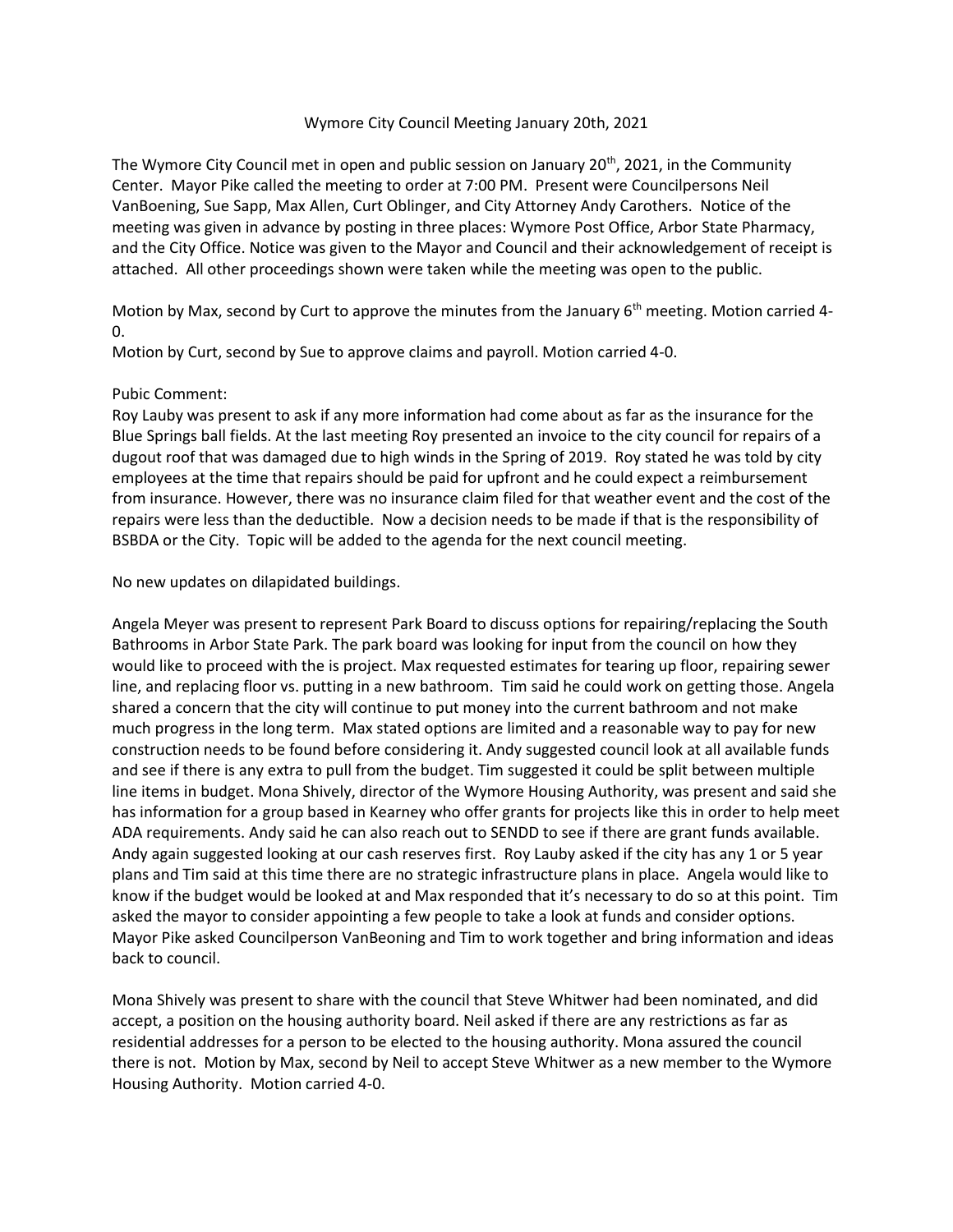## Wymore City Council Meeting January 20th, 2021

The Wymore City Council met in open and public session on January 20<sup>th</sup>, 2021, in the Community Center. Mayor Pike called the meeting to order at 7:00 PM. Present were Councilpersons Neil VanBoening, Sue Sapp, Max Allen, Curt Oblinger, and City Attorney Andy Carothers. Notice of the meeting was given in advance by posting in three places: Wymore Post Office, Arbor State Pharmacy, and the City Office. Notice was given to the Mayor and Council and their acknowledgement of receipt is attached. All other proceedings shown were taken while the meeting was open to the public.

Motion by Max, second by Curt to approve the minutes from the January  $6<sup>th</sup>$  meeting. Motion carried 4-0.

Motion by Curt, second by Sue to approve claims and payroll. Motion carried 4-0.

## Pubic Comment:

Roy Lauby was present to ask if any more information had come about as far as the insurance for the Blue Springs ball fields. At the last meeting Roy presented an invoice to the city council for repairs of a dugout roof that was damaged due to high winds in the Spring of 2019. Roy stated he was told by city employees at the time that repairs should be paid for upfront and he could expect a reimbursement from insurance. However, there was no insurance claim filed for that weather event and the cost of the repairs were less than the deductible. Now a decision needs to be made if that is the responsibility of BSBDA or the City. Topic will be added to the agenda for the next council meeting.

No new updates on dilapidated buildings.

Angela Meyer was present to represent Park Board to discuss options for repairing/replacing the South Bathrooms in Arbor State Park. The park board was looking for input from the council on how they would like to proceed with the is project. Max requested estimates for tearing up floor, repairing sewer line, and replacing floor vs. putting in a new bathroom. Tim said he could work on getting those. Angela shared a concern that the city will continue to put money into the current bathroom and not make much progress in the long term. Max stated options are limited and a reasonable way to pay for new construction needs to be found before considering it. Andy suggested council look at all available funds and see if there is any extra to pull from the budget. Tim suggested it could be split between multiple line items in budget. Mona Shively, director of the Wymore Housing Authority, was present and said she has information for a group based in Kearney who offer grants for projects like this in order to help meet ADA requirements. Andy said he can also reach out to SENDD to see if there are grant funds available. Andy again suggested looking at our cash reserves first. Roy Lauby asked if the city has any 1 or 5 year plans and Tim said at this time there are no strategic infrastructure plans in place. Angela would like to know if the budget would be looked at and Max responded that it's necessary to do so at this point. Tim asked the mayor to consider appointing a few people to take a look at funds and consider options. Mayor Pike asked Councilperson VanBeoning and Tim to work together and bring information and ideas back to council.

Mona Shively was present to share with the council that Steve Whitwer had been nominated, and did accept, a position on the housing authority board. Neil asked if there are any restrictions as far as residential addresses for a person to be elected to the housing authority. Mona assured the council there is not. Motion by Max, second by Neil to accept Steve Whitwer as a new member to the Wymore Housing Authority. Motion carried 4-0.